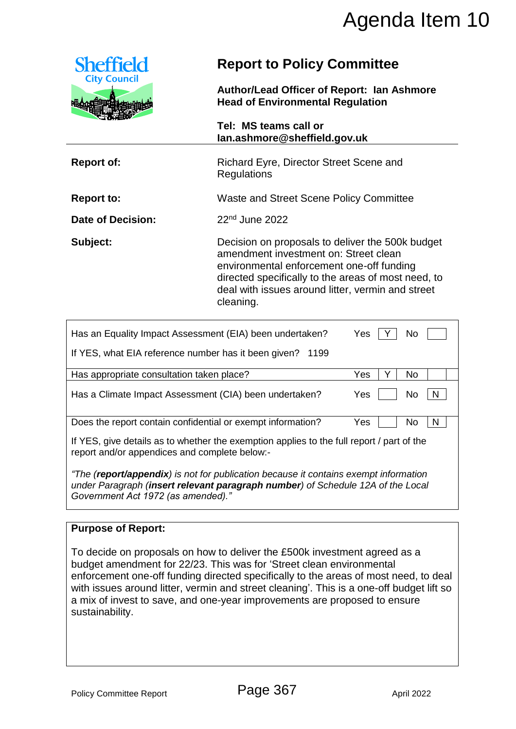

# **Report to Policy Committee**

|                          | וס ושט טווושט שווי ווט ו<br>lan.ashmore@sheffield.gov.uk                                                                                                                                                                                                        |  |  |
|--------------------------|-----------------------------------------------------------------------------------------------------------------------------------------------------------------------------------------------------------------------------------------------------------------|--|--|
| <b>Report of:</b>        | Richard Eyre, Director Street Scene and<br><b>Regulations</b>                                                                                                                                                                                                   |  |  |
| <b>Report to:</b>        | Waste and Street Scene Policy Committee                                                                                                                                                                                                                         |  |  |
| <b>Date of Decision:</b> | $22nd$ June 2022                                                                                                                                                                                                                                                |  |  |
| Subject:                 | Decision on proposals to deliver the 500k budget<br>amendment investment on: Street clean<br>environmental enforcement one-off funding<br>directed specifically to the areas of most need, to<br>deal with issues around litter, vermin and street<br>cleaning. |  |  |

|                                                                                                              | Agenda Item 10                                                                                                                                                                                                                                                                                                                                                                                                     |                                                                                                                                                                                     |  |  |  |
|--------------------------------------------------------------------------------------------------------------|--------------------------------------------------------------------------------------------------------------------------------------------------------------------------------------------------------------------------------------------------------------------------------------------------------------------------------------------------------------------------------------------------------------------|-------------------------------------------------------------------------------------------------------------------------------------------------------------------------------------|--|--|--|
| <b>Sheffield</b>                                                                                             |                                                                                                                                                                                                                                                                                                                                                                                                                    | <b>Report to Policy Committee</b><br>Author/Lead Officer of Report: Ian Ashmore<br><b>Head of Environmental Regulation</b><br>Tel: MS teams call or<br>lan.ashmore@sheffield.gov.uk |  |  |  |
| <b>City Council</b>                                                                                          |                                                                                                                                                                                                                                                                                                                                                                                                                    |                                                                                                                                                                                     |  |  |  |
|                                                                                                              |                                                                                                                                                                                                                                                                                                                                                                                                                    |                                                                                                                                                                                     |  |  |  |
| <b>Report of:</b>                                                                                            | Richard Eyre, Director Street Scene and<br>Regulations                                                                                                                                                                                                                                                                                                                                                             |                                                                                                                                                                                     |  |  |  |
| <b>Report to:</b>                                                                                            | Waste and Street Scene Policy Committee                                                                                                                                                                                                                                                                                                                                                                            |                                                                                                                                                                                     |  |  |  |
| <b>Date of Decision:</b>                                                                                     | 22 <sup>nd</sup> June 2022                                                                                                                                                                                                                                                                                                                                                                                         |                                                                                                                                                                                     |  |  |  |
| Subject:                                                                                                     | Decision on proposals to deliver the 500k budget<br>amendment investment on: Street clean<br>environmental enforcement one-off funding<br>directed specifically to the areas of most need, to<br>deal with issues around litter, vermin and street<br>cleaning.                                                                                                                                                    |                                                                                                                                                                                     |  |  |  |
|                                                                                                              | Has an Equality Impact Assessment (EIA) been undertaken?                                                                                                                                                                                                                                                                                                                                                           | Yes<br>No<br><sup>Y</sup>                                                                                                                                                           |  |  |  |
|                                                                                                              | If YES, what EIA reference number has it been given? 1199                                                                                                                                                                                                                                                                                                                                                          |                                                                                                                                                                                     |  |  |  |
| Has appropriate consultation taken place?                                                                    |                                                                                                                                                                                                                                                                                                                                                                                                                    | Yes<br>Υ<br>No                                                                                                                                                                      |  |  |  |
| Has a Climate Impact Assessment (CIA) been undertaken?                                                       |                                                                                                                                                                                                                                                                                                                                                                                                                    | N<br>No<br>Yes                                                                                                                                                                      |  |  |  |
| Does the report contain confidential or exempt information?<br>report and/or appendices and complete below:- | If YES, give details as to whether the exemption applies to the full report / part of the<br>"The (report/appendix) is not for publication because it contains exempt information<br>under Paragraph (insert relevant paragraph number) of Schedule 12A of the Local                                                                                                                                               | Yes<br>N.<br>No.                                                                                                                                                                    |  |  |  |
| Government Act 1972 (as amended)."                                                                           |                                                                                                                                                                                                                                                                                                                                                                                                                    |                                                                                                                                                                                     |  |  |  |
| <b>Purpose of Report:</b>                                                                                    |                                                                                                                                                                                                                                                                                                                                                                                                                    |                                                                                                                                                                                     |  |  |  |
| sustainability.                                                                                              | To decide on proposals on how to deliver the £500k investment agreed as a<br>budget amendment for 22/23. This was for 'Street clean environmental<br>enforcement one-off funding directed specifically to the areas of most need, to deal<br>with issues around litter, vermin and street cleaning'. This is a one-off budget lift so<br>a mix of invest to save, and one-year improvements are proposed to ensure |                                                                                                                                                                                     |  |  |  |
| <b>Policy Committee Report</b>                                                                               | Page 367                                                                                                                                                                                                                                                                                                                                                                                                           | April 2022                                                                                                                                                                          |  |  |  |

### **Purpose of Report:**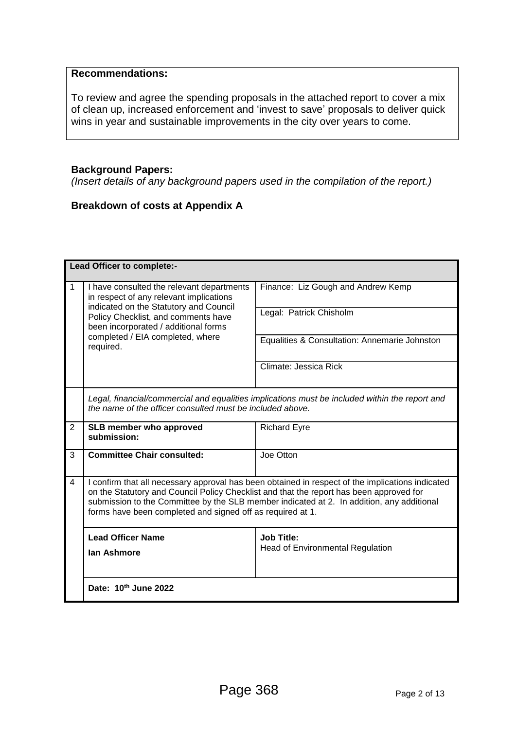#### **Recommendations:**

To review and agree the spending proposals in the attached report to cover a mix of clean up, increased enforcement and 'invest to save' proposals to deliver quick wins in year and sustainable improvements in the city over years to come.

#### **Background Papers:**

*(Insert details of any background papers used in the compilation of the report.)*

#### **Breakdown of costs at Appendix A**

|                | Lead Officer to complete:-                                                                                                                                                                                                                                                                                                                             |                                                              |  |  |  |
|----------------|--------------------------------------------------------------------------------------------------------------------------------------------------------------------------------------------------------------------------------------------------------------------------------------------------------------------------------------------------------|--------------------------------------------------------------|--|--|--|
| 1              | I have consulted the relevant departments<br>in respect of any relevant implications<br>indicated on the Statutory and Council<br>Policy Checklist, and comments have<br>been incorporated / additional forms<br>completed / EIA completed, where<br>required.                                                                                         | Finance: Liz Gough and Andrew Kemp                           |  |  |  |
|                |                                                                                                                                                                                                                                                                                                                                                        | Legal: Patrick Chisholm                                      |  |  |  |
|                |                                                                                                                                                                                                                                                                                                                                                        | Equalities & Consultation: Annemarie Johnston                |  |  |  |
|                |                                                                                                                                                                                                                                                                                                                                                        | Climate: Jessica Rick                                        |  |  |  |
|                | Legal, financial/commercial and equalities implications must be included within the report and<br>the name of the officer consulted must be included above.                                                                                                                                                                                            |                                                              |  |  |  |
| 2              | SLB member who approved<br>submission:                                                                                                                                                                                                                                                                                                                 | <b>Richard Eyre</b>                                          |  |  |  |
| 3              | <b>Committee Chair consulted:</b>                                                                                                                                                                                                                                                                                                                      | Joe Otton                                                    |  |  |  |
| $\overline{4}$ | I confirm that all necessary approval has been obtained in respect of the implications indicated<br>on the Statutory and Council Policy Checklist and that the report has been approved for<br>submission to the Committee by the SLB member indicated at 2. In addition, any additional<br>forms have been completed and signed off as required at 1. |                                                              |  |  |  |
|                | <b>Lead Officer Name</b><br>lan Ashmore                                                                                                                                                                                                                                                                                                                | <b>Job Title:</b><br><b>Head of Environmental Regulation</b> |  |  |  |
|                | Date: 10th June 2022                                                                                                                                                                                                                                                                                                                                   |                                                              |  |  |  |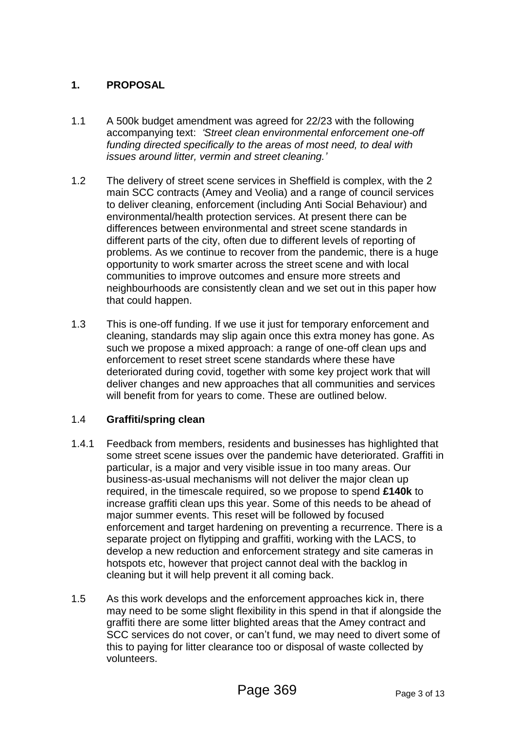## **1. PROPOSAL**

- 1.1 A 500k budget amendment was agreed for 22/23 with the following accompanying text: *'Street clean environmental enforcement one-off funding directed specifically to the areas of most need, to deal with issues around litter, vermin and street cleaning.'*
- 1.2 The delivery of street scene services in Sheffield is complex, with the 2 main SCC contracts (Amey and Veolia) and a range of council services to deliver cleaning, enforcement (including Anti Social Behaviour) and environmental/health protection services. At present there can be differences between environmental and street scene standards in different parts of the city, often due to different levels of reporting of problems. As we continue to recover from the pandemic, there is a huge opportunity to work smarter across the street scene and with local communities to improve outcomes and ensure more streets and neighbourhoods are consistently clean and we set out in this paper how that could happen.
- 1.3 This is one-off funding. If we use it just for temporary enforcement and cleaning, standards may slip again once this extra money has gone. As such we propose a mixed approach: a range of one-off clean ups and enforcement to reset street scene standards where these have deteriorated during covid, together with some key project work that will deliver changes and new approaches that all communities and services will benefit from for years to come. These are outlined below.

#### 1.4 **Graffiti/spring clean**

- 1.4.1 Feedback from members, residents and businesses has highlighted that some street scene issues over the pandemic have deteriorated. Graffiti in particular, is a major and very visible issue in too many areas. Our business-as-usual mechanisms will not deliver the major clean up required, in the timescale required, so we propose to spend **£140k** to increase graffiti clean ups this year. Some of this needs to be ahead of major summer events. This reset will be followed by focused enforcement and target hardening on preventing a recurrence. There is a separate project on flytipping and graffiti, working with the LACS, to develop a new reduction and enforcement strategy and site cameras in hotspots etc, however that project cannot deal with the backlog in cleaning but it will help prevent it all coming back.
- 1.5 As this work develops and the enforcement approaches kick in, there may need to be some slight flexibility in this spend in that if alongside the graffiti there are some litter blighted areas that the Amey contract and SCC services do not cover, or can't fund, we may need to divert some of this to paying for litter clearance too or disposal of waste collected by volunteers.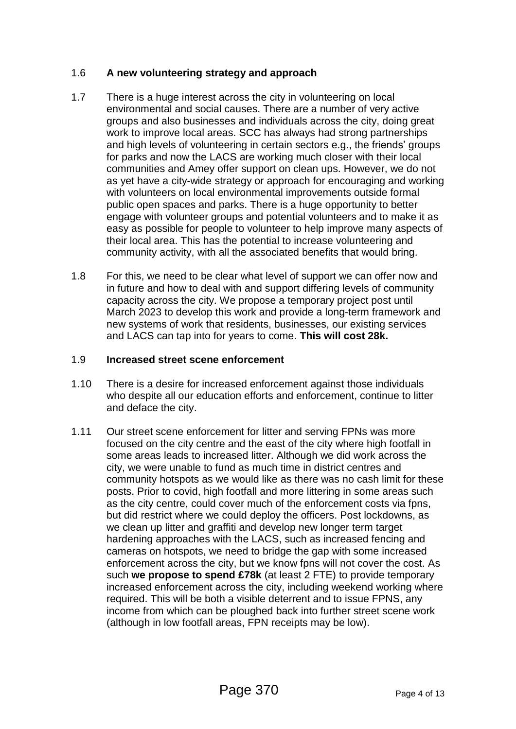#### 1.6 **A new volunteering strategy and approach**

- 1.7 There is a huge interest across the city in volunteering on local environmental and social causes. There are a number of very active groups and also businesses and individuals across the city, doing great work to improve local areas. SCC has always had strong partnerships and high levels of volunteering in certain sectors e.g., the friends' groups for parks and now the LACS are working much closer with their local communities and Amey offer support on clean ups. However, we do not as yet have a city-wide strategy or approach for encouraging and working with volunteers on local environmental improvements outside formal public open spaces and parks. There is a huge opportunity to better engage with volunteer groups and potential volunteers and to make it as easy as possible for people to volunteer to help improve many aspects of their local area. This has the potential to increase volunteering and community activity, with all the associated benefits that would bring.
- 1.8 For this, we need to be clear what level of support we can offer now and in future and how to deal with and support differing levels of community capacity across the city. We propose a temporary project post until March 2023 to develop this work and provide a long-term framework and new systems of work that residents, businesses, our existing services and LACS can tap into for years to come. **This will cost 28k.**

#### 1.9 **Increased street scene enforcement**

- 1.10 There is a desire for increased enforcement against those individuals who despite all our education efforts and enforcement, continue to litter and deface the city.
- 1.11 Our street scene enforcement for litter and serving FPNs was more focused on the city centre and the east of the city where high footfall in some areas leads to increased litter. Although we did work across the city, we were unable to fund as much time in district centres and community hotspots as we would like as there was no cash limit for these posts. Prior to covid, high footfall and more littering in some areas such as the city centre, could cover much of the enforcement costs via fpns, but did restrict where we could deploy the officers. Post lockdowns, as we clean up litter and graffiti and develop new longer term target hardening approaches with the LACS, such as increased fencing and cameras on hotspots, we need to bridge the gap with some increased enforcement across the city, but we know fpns will not cover the cost. As such **we propose to spend £78k** (at least 2 FTE) to provide temporary increased enforcement across the city, including weekend working where required. This will be both a visible deterrent and to issue FPNS, any income from which can be ploughed back into further street scene work (although in low footfall areas, FPN receipts may be low).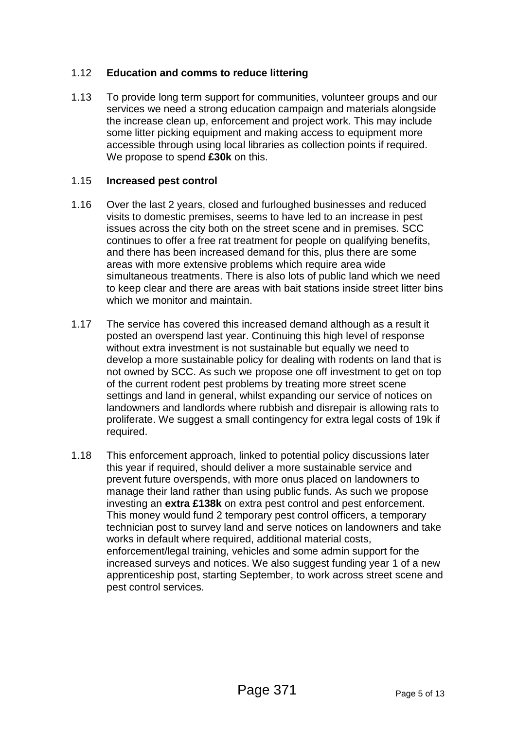#### 1.12 **Education and comms to reduce littering**

1.13 To provide long term support for communities, volunteer groups and our services we need a strong education campaign and materials alongside the increase clean up, enforcement and project work. This may include some litter picking equipment and making access to equipment more accessible through using local libraries as collection points if required. We propose to spend **£30k** on this.

#### 1.15 **Increased pest control**

- 1.16 Over the last 2 years, closed and furloughed businesses and reduced visits to domestic premises, seems to have led to an increase in pest issues across the city both on the street scene and in premises. SCC continues to offer a free rat treatment for people on qualifying benefits, and there has been increased demand for this, plus there are some areas with more extensive problems which require area wide simultaneous treatments. There is also lots of public land which we need to keep clear and there are areas with bait stations inside street litter bins which we monitor and maintain.
- 1.17 The service has covered this increased demand although as a result it posted an overspend last year. Continuing this high level of response without extra investment is not sustainable but equally we need to develop a more sustainable policy for dealing with rodents on land that is not owned by SCC. As such we propose one off investment to get on top of the current rodent pest problems by treating more street scene settings and land in general, whilst expanding our service of notices on landowners and landlords where rubbish and disrepair is allowing rats to proliferate. We suggest a small contingency for extra legal costs of 19k if required.
- 1.18 This enforcement approach, linked to potential policy discussions later this year if required, should deliver a more sustainable service and prevent future overspends, with more onus placed on landowners to manage their land rather than using public funds. As such we propose investing an **extra £138k** on extra pest control and pest enforcement. This money would fund 2 temporary pest control officers, a temporary technician post to survey land and serve notices on landowners and take works in default where required, additional material costs, enforcement/legal training, vehicles and some admin support for the increased surveys and notices. We also suggest funding year 1 of a new apprenticeship post, starting September, to work across street scene and pest control services.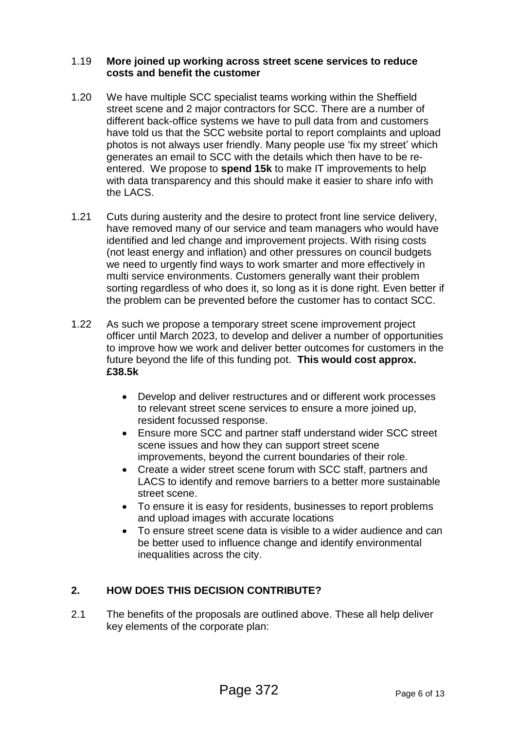#### 1.19 **More joined up working across street scene services to reduce costs and benefit the customer**

- 1.20 We have multiple SCC specialist teams working within the Sheffield street scene and 2 major contractors for SCC. There are a number of different back-office systems we have to pull data from and customers have told us that the SCC website portal to report complaints and upload photos is not always user friendly. Many people use 'fix my street' which generates an email to SCC with the details which then have to be reentered. We propose to **spend 15k** to make IT improvements to help with data transparency and this should make it easier to share info with the LACS.
- 1.21 Cuts during austerity and the desire to protect front line service delivery, have removed many of our service and team managers who would have identified and led change and improvement projects. With rising costs (not least energy and inflation) and other pressures on council budgets we need to urgently find ways to work smarter and more effectively in multi service environments. Customers generally want their problem sorting regardless of who does it, so long as it is done right. Even better if the problem can be prevented before the customer has to contact SCC.
- 1.22 As such we propose a temporary street scene improvement project officer until March 2023, to develop and deliver a number of opportunities to improve how we work and deliver better outcomes for customers in the future beyond the life of this funding pot. **This would cost approx. £38.5k**
	- Develop and deliver restructures and or different work processes to relevant street scene services to ensure a more joined up, resident focussed response.
	- Ensure more SCC and partner staff understand wider SCC street scene issues and how they can support street scene improvements, beyond the current boundaries of their role.
	- Create a wider street scene forum with SCC staff, partners and LACS to identify and remove barriers to a better more sustainable street scene.
	- To ensure it is easy for residents, businesses to report problems and upload images with accurate locations
	- To ensure street scene data is visible to a wider audience and can be better used to influence change and identify environmental inequalities across the city.

### **2. HOW DOES THIS DECISION CONTRIBUTE?**

2.1 The benefits of the proposals are outlined above. These all help deliver key elements of the corporate plan: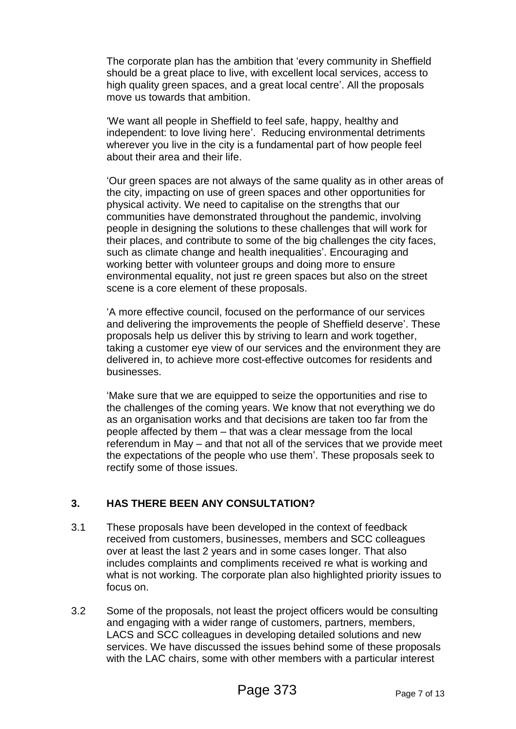The corporate plan has the ambition that 'every community in Sheffield should be a great place to live, with excellent local services, access to high quality green spaces, and a great local centre'. All the proposals move us towards that ambition.

'We want all people in Sheffield to feel safe, happy, healthy and independent: to love living here'. Reducing environmental detriments wherever you live in the city is a fundamental part of how people feel about their area and their life.

'Our green spaces are not always of the same quality as in other areas of the city, impacting on use of green spaces and other opportunities for physical activity. We need to capitalise on the strengths that our communities have demonstrated throughout the pandemic, involving people in designing the solutions to these challenges that will work for their places, and contribute to some of the big challenges the city faces, such as climate change and health inequalities'. Encouraging and working better with volunteer groups and doing more to ensure environmental equality, not just re green spaces but also on the street scene is a core element of these proposals.

'A more effective council, focused on the performance of our services and delivering the improvements the people of Sheffield deserve'. These proposals help us deliver this by striving to learn and work together, taking a customer eye view of our services and the environment they are delivered in, to achieve more cost-effective outcomes for residents and businesses.

'Make sure that we are equipped to seize the opportunities and rise to the challenges of the coming years. We know that not everything we do as an organisation works and that decisions are taken too far from the people affected by them – that was a clear message from the local referendum in May – and that not all of the services that we provide meet the expectations of the people who use them'. These proposals seek to rectify some of those issues.

### **3. HAS THERE BEEN ANY CONSULTATION?**

- 3.1 These proposals have been developed in the context of feedback received from customers, businesses, members and SCC colleagues over at least the last 2 years and in some cases longer. That also includes complaints and compliments received re what is working and what is not working. The corporate plan also highlighted priority issues to focus on.
- 3.2 Some of the proposals, not least the project officers would be consulting and engaging with a wider range of customers, partners, members, LACS and SCC colleagues in developing detailed solutions and new services. We have discussed the issues behind some of these proposals with the LAC chairs, some with other members with a particular interest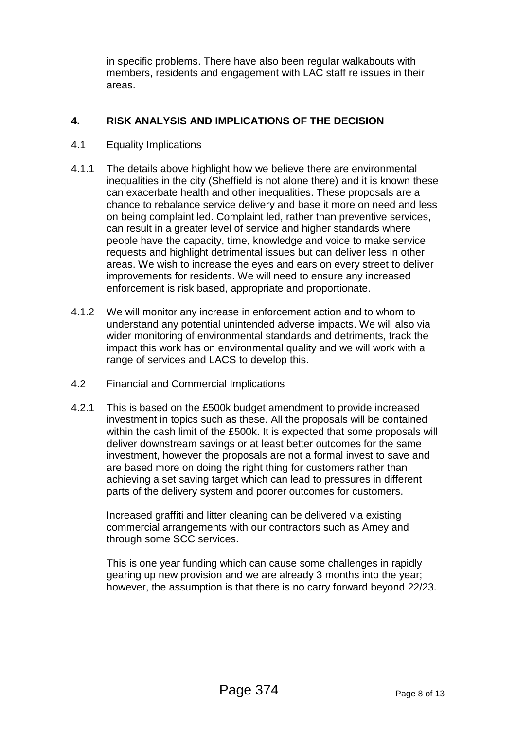in specific problems. There have also been regular walkabouts with members, residents and engagement with LAC staff re issues in their areas.

### **4. RISK ANALYSIS AND IMPLICATIONS OF THE DECISION**

#### 4.1 Equality Implications

- 4.1.1 The details above highlight how we believe there are environmental inequalities in the city (Sheffield is not alone there) and it is known these can exacerbate health and other inequalities. These proposals are a chance to rebalance service delivery and base it more on need and less on being complaint led. Complaint led, rather than preventive services, can result in a greater level of service and higher standards where people have the capacity, time, knowledge and voice to make service requests and highlight detrimental issues but can deliver less in other areas. We wish to increase the eyes and ears on every street to deliver improvements for residents. We will need to ensure any increased enforcement is risk based, appropriate and proportionate.
- 4.1.2 We will monitor any increase in enforcement action and to whom to understand any potential unintended adverse impacts. We will also via wider monitoring of environmental standards and detriments, track the impact this work has on environmental quality and we will work with a range of services and LACS to develop this.

#### 4.2 Financial and Commercial Implications

4.2.1 This is based on the £500k budget amendment to provide increased investment in topics such as these. All the proposals will be contained within the cash limit of the £500k. It is expected that some proposals will deliver downstream savings or at least better outcomes for the same investment, however the proposals are not a formal invest to save and are based more on doing the right thing for customers rather than achieving a set saving target which can lead to pressures in different parts of the delivery system and poorer outcomes for customers.

Increased graffiti and litter cleaning can be delivered via existing commercial arrangements with our contractors such as Amey and through some SCC services.

This is one year funding which can cause some challenges in rapidly gearing up new provision and we are already 3 months into the year; however, the assumption is that there is no carry forward beyond 22/23.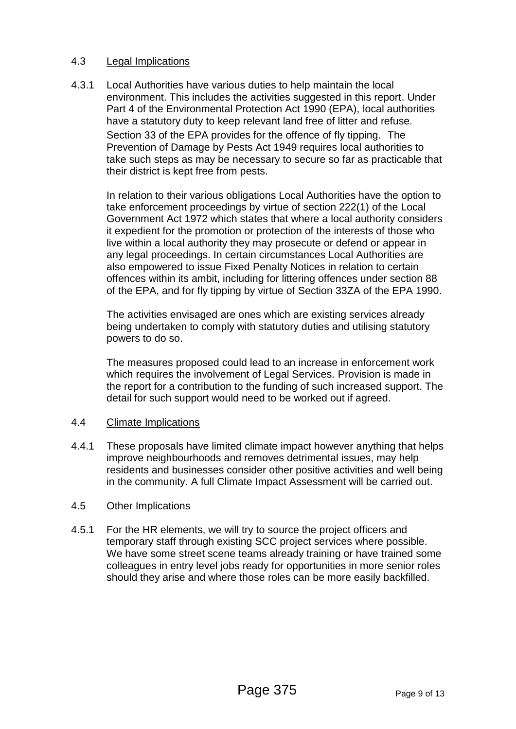#### 4.3 Legal Implications

4.3.1 Local Authorities have various duties to help maintain the local environment. This includes the activities suggested in this report. Under Part 4 of the Environmental Protection Act 1990 (EPA), local authorities have a statutory duty to keep relevant land free of litter and refuse. Section 33 of the EPA provides for the offence of fly tipping. The Prevention of Damage by Pests Act 1949 requires local authorities to take such steps as may be necessary to secure so far as practicable that their district is kept free from pests.

In relation to their various obligations Local Authorities have the option to take enforcement proceedings by virtue of section 222(1) of the Local Government Act 1972 which states that where a local authority considers it expedient for the promotion or protection of the interests of those who live within a local authority they may prosecute or defend or appear in any legal proceedings. In certain circumstances Local Authorities are also empowered to issue Fixed Penalty Notices in relation to certain offences within its ambit, including for littering offences under section 88 of the EPA, and for fly tipping by virtue of Section 33ZA of the EPA 1990.

The activities envisaged are ones which are existing services already being undertaken to comply with statutory duties and utilising statutory powers to do so.

The measures proposed could lead to an increase in enforcement work which requires the involvement of Legal Services. Provision is made in the report for a contribution to the funding of such increased support. The detail for such support would need to be worked out if agreed.

#### 4.4 Climate Implications

4.4.1 These proposals have limited climate impact however anything that helps improve neighbourhoods and removes detrimental issues, may help residents and businesses consider other positive activities and well being in the community. A full Climate Impact Assessment will be carried out.

#### 4.5 Other Implications

4.5.1 For the HR elements, we will try to source the project officers and temporary staff through existing SCC project services where possible. We have some street scene teams already training or have trained some colleagues in entry level jobs ready for opportunities in more senior roles should they arise and where those roles can be more easily backfilled.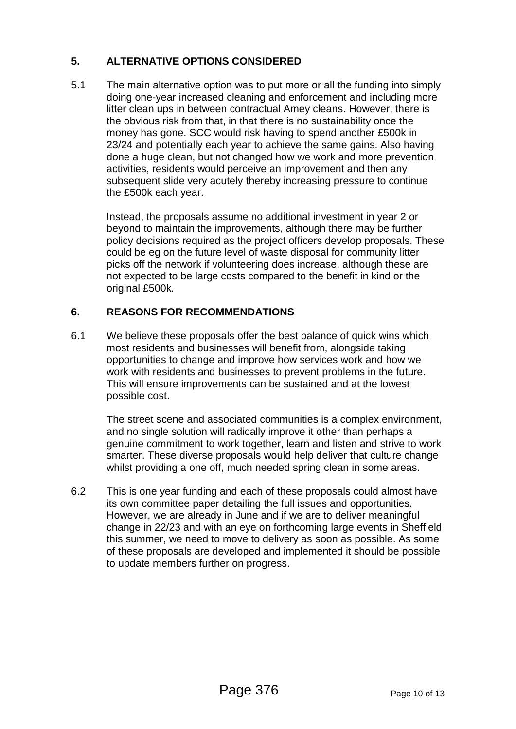## **5. ALTERNATIVE OPTIONS CONSIDERED**

5.1 The main alternative option was to put more or all the funding into simply doing one-year increased cleaning and enforcement and including more litter clean ups in between contractual Amey cleans. However, there is the obvious risk from that, in that there is no sustainability once the money has gone. SCC would risk having to spend another £500k in 23/24 and potentially each year to achieve the same gains. Also having done a huge clean, but not changed how we work and more prevention activities, residents would perceive an improvement and then any subsequent slide very acutely thereby increasing pressure to continue the £500k each year.

Instead, the proposals assume no additional investment in year 2 or beyond to maintain the improvements, although there may be further policy decisions required as the project officers develop proposals. These could be eg on the future level of waste disposal for community litter picks off the network if volunteering does increase, although these are not expected to be large costs compared to the benefit in kind or the original £500k.

### **6. REASONS FOR RECOMMENDATIONS**

6.1 We believe these proposals offer the best balance of quick wins which most residents and businesses will benefit from, alongside taking opportunities to change and improve how services work and how we work with residents and businesses to prevent problems in the future. This will ensure improvements can be sustained and at the lowest possible cost.

The street scene and associated communities is a complex environment, and no single solution will radically improve it other than perhaps a genuine commitment to work together, learn and listen and strive to work smarter. These diverse proposals would help deliver that culture change whilst providing a one off, much needed spring clean in some areas.

6.2 This is one year funding and each of these proposals could almost have its own committee paper detailing the full issues and opportunities. However, we are already in June and if we are to deliver meaningful change in 22/23 and with an eye on forthcoming large events in Sheffield this summer, we need to move to delivery as soon as possible. As some of these proposals are developed and implemented it should be possible to update members further on progress.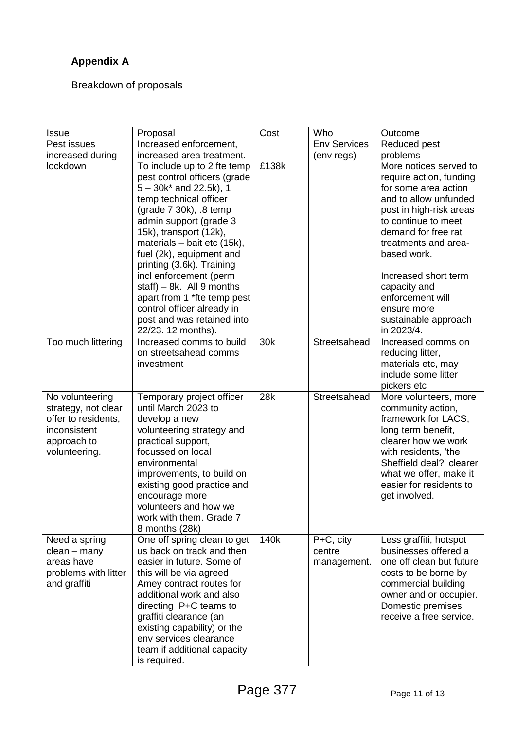# **Appendix A**

Breakdown of proposals

| <b>Issue</b>                 | Proposal                                | Cost  | Who                 | Outcome                                   |
|------------------------------|-----------------------------------------|-------|---------------------|-------------------------------------------|
| Pest issues                  | Increased enforcement,                  |       | <b>Env Services</b> | Reduced pest                              |
| increased during             | increased area treatment.               |       | (env regs)          | problems                                  |
| lockdown                     | To include up to 2 fte temp             | £138k |                     | More notices served to                    |
|                              | pest control officers (grade            |       |                     | require action, funding                   |
|                              | $5 - 30k^*$ and 22.5k), 1               |       |                     | for some area action                      |
|                              | temp technical officer                  |       |                     | and to allow unfunded                     |
|                              | (grade $7$ 30k), $.8$ temp              |       |                     | post in high-risk areas                   |
|                              | admin support (grade 3                  |       |                     | to continue to meet                       |
|                              | 15k), transport (12k),                  |       |                     | demand for free rat                       |
|                              | materials - bait etc (15k),             |       |                     | treatments and area-                      |
|                              | fuel (2k), equipment and                |       |                     | based work.                               |
|                              | printing (3.6k). Training               |       |                     |                                           |
|                              | incl enforcement (perm                  |       |                     | Increased short term                      |
|                              | staff) $-8k$ . All 9 months             |       |                     | capacity and                              |
|                              | apart from 1 *fte temp pest             |       |                     | enforcement will                          |
|                              | control officer already in              |       |                     | ensure more                               |
|                              | post and was retained into              |       |                     | sustainable approach                      |
|                              | 22/23. 12 months).                      |       |                     | in 2023/4.                                |
| Too much littering           | Increased comms to build                | 30k   | Streetsahead        | Increased comms on                        |
|                              | on streetsahead comms                   |       |                     | reducing litter,                          |
|                              | investment                              |       |                     | materials etc, may                        |
|                              |                                         |       |                     | include some litter                       |
|                              |                                         |       |                     | pickers etc                               |
| No volunteering              | Temporary project officer               | 28k   | Streetsahead        | More volunteers, more                     |
| strategy, not clear          | until March 2023 to                     |       |                     | community action,                         |
| offer to residents,          | develop a new                           |       |                     | framework for LACS,                       |
| inconsistent                 | volunteering strategy and               |       |                     | long term benefit,<br>clearer how we work |
| approach to<br>volunteering. | practical support,<br>focussed on local |       |                     | with residents, 'the                      |
|                              | environmental                           |       |                     | Sheffield deal?' clearer                  |
|                              | improvements, to build on               |       |                     | what we offer, make it                    |
|                              | existing good practice and              |       |                     | easier for residents to                   |
|                              | encourage more                          |       |                     | get involved.                             |
|                              | volunteers and how we                   |       |                     |                                           |
|                              | work with them. Grade 7                 |       |                     |                                           |
|                              | 8 months (28k)                          |       |                     |                                           |
| Need a spring                | One off spring clean to get             | 140k  | P+C, city           | Less graffiti, hotspot                    |
| clean – many                 | us back on track and then               |       | centre              | businesses offered a                      |
| areas have                   | easier in future. Some of               |       | management.         | one off clean but future                  |
| problems with litter         | this will be via agreed                 |       |                     | costs to be borne by                      |
| and graffiti                 | Amey contract routes for                |       |                     | commercial building                       |
|                              | additional work and also                |       |                     | owner and or occupier.                    |
|                              | directing P+C teams to                  |       |                     | Domestic premises                         |
|                              | graffiti clearance (an                  |       |                     | receive a free service.                   |
|                              | existing capability) or the             |       |                     |                                           |
|                              | env services clearance                  |       |                     |                                           |
|                              | team if additional capacity             |       |                     |                                           |
|                              | is required.                            |       |                     |                                           |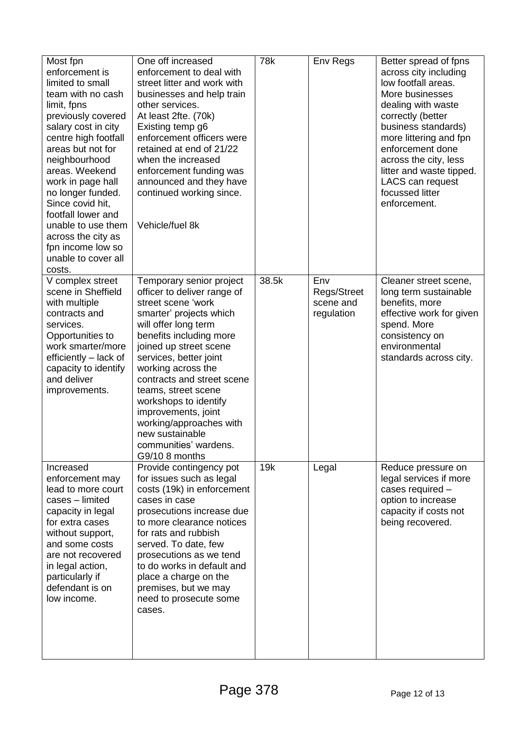| Most fpn<br>enforcement is<br>limited to small<br>team with no cash<br>limit, fpns<br>previously covered<br>salary cost in city<br>centre high footfall<br>areas but not for<br>neighbourhood<br>areas. Weekend<br>work in page hall<br>no longer funded.<br>Since covid hit,<br>footfall lower and<br>unable to use them<br>across the city as<br>fpn income low so<br>unable to cover all<br>costs. | One off increased<br>enforcement to deal with<br>street litter and work with<br>businesses and help train<br>other services.<br>At least 2fte. (70k)<br>Existing temp g6<br>enforcement officers were<br>retained at end of 21/22<br>when the increased<br>enforcement funding was<br>announced and they have<br>continued working since.<br>Vehicle/fuel 8k                                                                        | 78k   | Env Regs                                      | Better spread of fpns<br>across city including<br>low footfall areas.<br>More businesses<br>dealing with waste<br>correctly (better<br>business standards)<br>more littering and fpn<br>enforcement done<br>across the city, less<br>litter and waste tipped.<br>LACS can request<br>focussed litter<br>enforcement. |
|-------------------------------------------------------------------------------------------------------------------------------------------------------------------------------------------------------------------------------------------------------------------------------------------------------------------------------------------------------------------------------------------------------|-------------------------------------------------------------------------------------------------------------------------------------------------------------------------------------------------------------------------------------------------------------------------------------------------------------------------------------------------------------------------------------------------------------------------------------|-------|-----------------------------------------------|----------------------------------------------------------------------------------------------------------------------------------------------------------------------------------------------------------------------------------------------------------------------------------------------------------------------|
| V complex street<br>scene in Sheffield<br>with multiple<br>contracts and<br>services.<br>Opportunities to<br>work smarter/more<br>efficiently – lack of<br>capacity to identify<br>and deliver<br>improvements.                                                                                                                                                                                       | Temporary senior project<br>officer to deliver range of<br>street scene 'work<br>smarter' projects which<br>will offer long term<br>benefits including more<br>joined up street scene<br>services, better joint<br>working across the<br>contracts and street scene<br>teams, street scene<br>workshops to identify<br>improvements, joint<br>working/approaches with<br>new sustainable<br>communities' wardens.<br>G9/10 8 months | 38.5k | Env<br>Regs/Street<br>scene and<br>regulation | Cleaner street scene,<br>long term sustainable<br>benefits, more<br>effective work for given<br>spend. More<br>consistency on<br>environmental<br>standards across city.                                                                                                                                             |
| Increased<br>enforcement may<br>lead to more court<br>cases - limited<br>capacity in legal<br>for extra cases<br>without support,<br>and some costs<br>are not recovered<br>in legal action,<br>particularly if<br>defendant is on<br>low income.                                                                                                                                                     | Provide contingency pot<br>for issues such as legal<br>costs (19k) in enforcement<br>cases in case<br>prosecutions increase due<br>to more clearance notices<br>for rats and rubbish<br>served. To date, few<br>prosecutions as we tend<br>to do works in default and<br>place a charge on the<br>premises, but we may<br>need to prosecute some<br>cases.                                                                          | 19k   | Legal                                         | Reduce pressure on<br>legal services if more<br>cases required -<br>option to increase<br>capacity if costs not<br>being recovered.                                                                                                                                                                                  |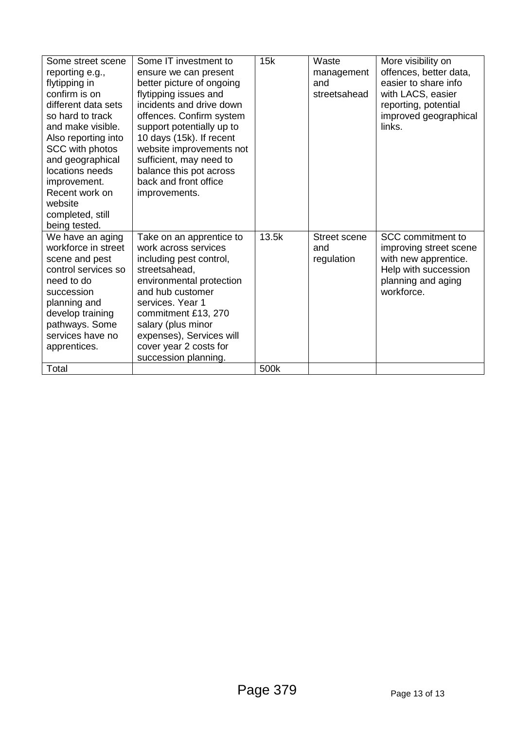| Some street scene<br>reporting e.g.,<br>flytipping in<br>confirm is on<br>different data sets<br>so hard to track<br>and make visible.<br>Also reporting into<br>SCC with photos<br>and geographical<br>locations needs<br>improvement.<br>Recent work on<br>website<br>completed, still<br>being tested. | Some IT investment to<br>ensure we can present<br>better picture of ongoing<br>flytipping issues and<br>incidents and drive down<br>offences. Confirm system<br>support potentially up to<br>10 days (15k). If recent<br>website improvements not<br>sufficient, may need to<br>balance this pot across<br>back and front office<br>improvements. | 15k   | Waste<br>management<br>and<br>streetsahead | More visibility on<br>offences, better data,<br>easier to share info<br>with LACS, easier<br>reporting, potential<br>improved geographical<br>links. |
|-----------------------------------------------------------------------------------------------------------------------------------------------------------------------------------------------------------------------------------------------------------------------------------------------------------|---------------------------------------------------------------------------------------------------------------------------------------------------------------------------------------------------------------------------------------------------------------------------------------------------------------------------------------------------|-------|--------------------------------------------|------------------------------------------------------------------------------------------------------------------------------------------------------|
| We have an aging<br>workforce in street<br>scene and pest<br>control services so<br>need to do<br>succession<br>planning and<br>develop training<br>pathways. Some<br>services have no<br>apprentices.                                                                                                    | Take on an apprentice to<br>work across services<br>including pest control,<br>streetsahead.<br>environmental protection<br>and hub customer<br>services. Year 1<br>commitment £13, 270<br>salary (plus minor<br>expenses), Services will<br>cover year 2 costs for<br>succession planning.                                                       | 13.5k | <b>Street scene</b><br>and<br>regulation   | SCC commitment to<br>improving street scene<br>with new apprentice.<br>Help with succession<br>planning and aging<br>workforce.                      |
| Total                                                                                                                                                                                                                                                                                                     |                                                                                                                                                                                                                                                                                                                                                   | 500k  |                                            |                                                                                                                                                      |